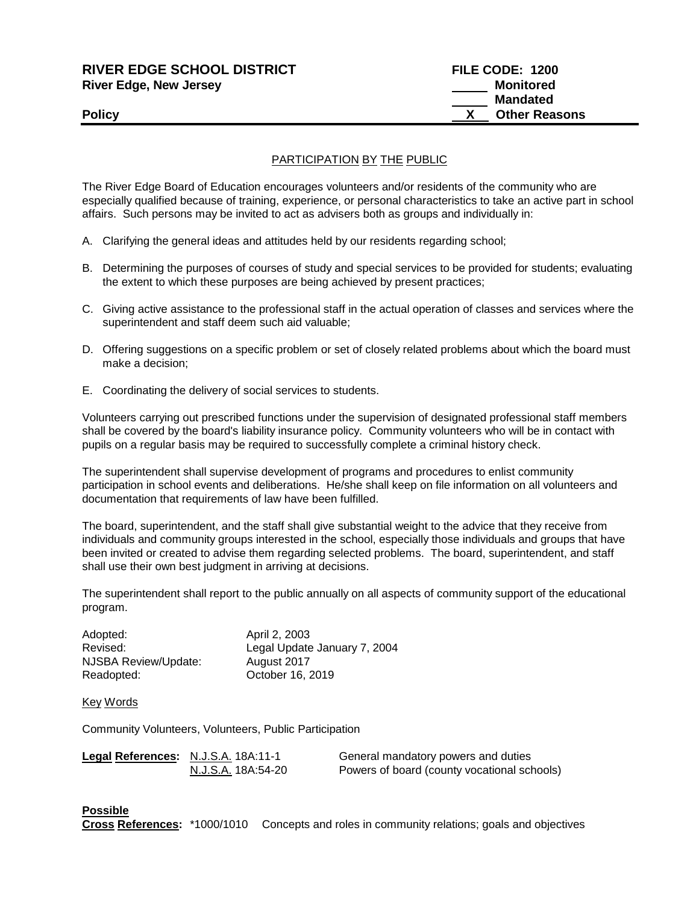| <b>RIVER EDGE SCHOOL DISTRICT</b> | FILE CODE: 1200      |
|-----------------------------------|----------------------|
| <b>River Edge, New Jersey</b>     | Monitored            |
|                                   | <b>Mandated</b>      |
| <b>Policy</b>                     | <b>Other Reasons</b> |
|                                   |                      |

## PARTICIPATION BY THE PUBLIC

The River Edge Board of Education encourages volunteers and/or residents of the community who are especially qualified because of training, experience, or personal characteristics to take an active part in school affairs. Such persons may be invited to act as advisers both as groups and individually in:

- A. Clarifying the general ideas and attitudes held by our residents regarding school;
- B. Determining the purposes of courses of study and special services to be provided for students; evaluating the extent to which these purposes are being achieved by present practices;
- C. Giving active assistance to the professional staff in the actual operation of classes and services where the superintendent and staff deem such aid valuable;
- D. Offering suggestions on a specific problem or set of closely related problems about which the board must make a decision;
- E. Coordinating the delivery of social services to students.

Volunteers carrying out prescribed functions under the supervision of designated professional staff members shall be covered by the board's liability insurance policy. Community volunteers who will be in contact with pupils on a regular basis may be required to successfully complete a criminal history check.

The superintendent shall supervise development of programs and procedures to enlist community participation in school events and deliberations. He/she shall keep on file information on all volunteers and documentation that requirements of law have been fulfilled.

The board, superintendent, and the staff shall give substantial weight to the advice that they receive from individuals and community groups interested in the school, especially those individuals and groups that have been invited or created to advise them regarding selected problems. The board, superintendent, and staff shall use their own best judgment in arriving at decisions.

The superintendent shall report to the public annually on all aspects of community support of the educational program.

| Adopted:             | April 2, 2003                |
|----------------------|------------------------------|
| Revised:             | Legal Update January 7, 2004 |
| NJSBA Review/Update: | August 2017                  |
| Readopted:           | October 16, 2019             |

Key Words

Community Volunteers, Volunteers, Public Participation

| Legal References: N.J.S.A. 18A:11-1 |                    | General mandatory powers and duties         |
|-------------------------------------|--------------------|---------------------------------------------|
|                                     | N.J.S.A. 18A:54-20 | Powers of board (county vocational schools) |